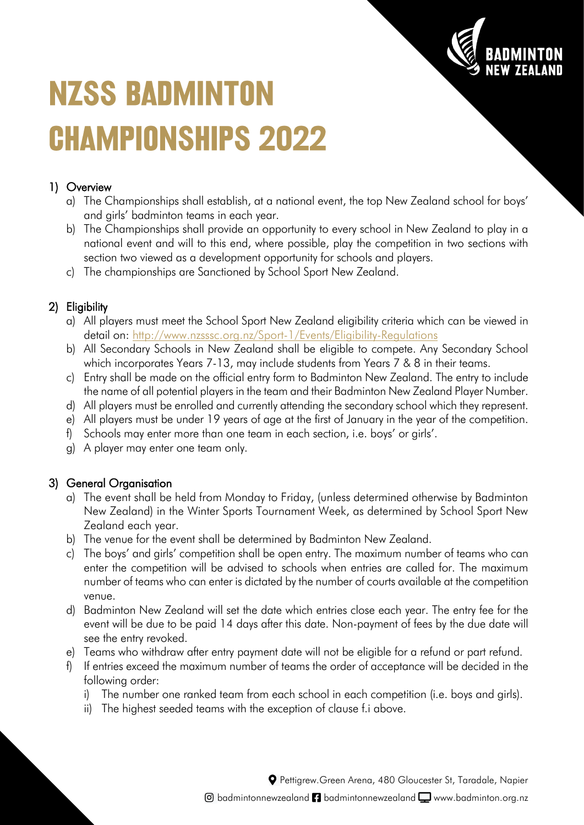

# **NZSS BADMINTON CHAMPIONSHIPS 2022**

## 1) Overview

- a) The Championships shall establish, at a national event, the top New Zealand school for boys' and girls' badminton teams in each year.
- b) The Championships shall provide an opportunity to every school in New Zealand to play in a national event and will to this end, where possible, play the competition in two sections with section two viewed as a development opportunity for schools and players.
- c) The championships are Sanctioned by School Sport New Zealand.

### 2) Eligibility

- a) All players must meet the School Sport New Zealand eligibility criteria which can be viewed in detail on:<http://www.nzsssc.org.nz/Sport-1/Events/Eligibility-Regulations>
- b) All Secondary Schools in New Zealand shall be eligible to compete. Any Secondary School which incorporates Years 7-13, may include students from Years 7 & 8 in their teams.
- c) Entry shall be made on the official entry form to Badminton New Zealand. The entry to include the name of all potential players in the team and their Badminton New Zealand Player Number.
- d) All players must be enrolled and currently attending the secondary school which they represent.
- e) All players must be under 19 years of age at the first of January in the year of the competition.
- f) Schools may enter more than one team in each section, i.e. boys' or girls'.
- g) A player may enter one team only.

#### 3) General Organisation

- a) The event shall be held from Monday to Friday, (unless determined otherwise by Badminton New Zealand) in the Winter Sports Tournament Week, as determined by School Sport New Zealand each year.
- b) The venue for the event shall be determined by Badminton New Zealand.
- c) The boys' and girls' competition shall be open entry. The maximum number of teams who can enter the competition will be advised to schools when entries are called for. The maximum number of teams who can enter is dictated by the number of courts available at the competition venue.
- d) Badminton New Zealand will set the date which entries close each year. The entry fee for the event will be due to be paid 14 days after this date. Non-payment of fees by the due date will see the entry revoked.
- e) Teams who withdraw after entry payment date will not be eligible for a refund or part refund.
- f) If entries exceed the maximum number of teams the order of acceptance will be decided in the following order:
	- i) The number one ranked team from each school in each competition (i.e. boys and girls).
	- ii) The highest seeded teams with the exception of clause f.i above.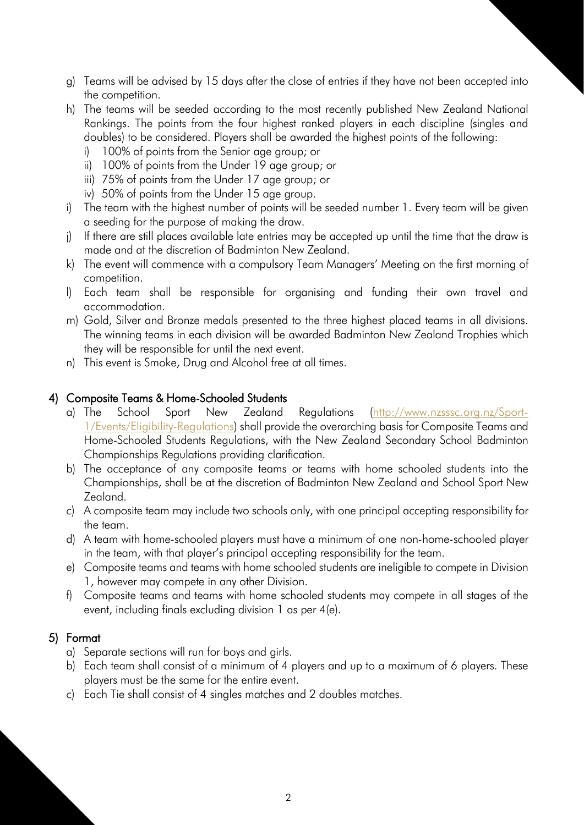- g) Teams will be advised by 15 days after the close of entries if they have not been accepted into the competition.
- h) The teams will be seeded according to the most recently published New Zealand National Rankings. The points from the four highest ranked players in each discipline (singles and doubles) to be considered. Players shall be awarded the highest points of the following:
	- i) 100% of points from the Senior age group; or
	- ii) 100% of points from the Under 19 age group; or
	- iii) 75% of points from the Under 17 age group; or
	- iv) 50% of points from the Under 15 age group.
- i) The team with the highest number of points will be seeded number 1. Every team will be given a seeding for the purpose of making the draw.
- j) If there are still places available late entries may be accepted up until the time that the draw is made and at the discretion of Badminton New Zealand.
- k) The event will commence with a compulsory Team Managers' Meeting on the first morning of competition.
- l) Each team shall be responsible for organising and funding their own travel and accommodation.
- m) Gold, Silver and Bronze medals presented to the three highest placed teams in all divisions. The winning teams in each division will be awarded Badminton New Zealand Trophies which they will be responsible for until the next event.
- n) This event is Smoke, Drug and Alcohol free at all times.

#### 4) Composite Teams & Home-Schooled Students

- a) The School Sport New Zealand Regulations [\(http://www.nzsssc.org.nz/Sport-](http://www.nzsssc.org.nz/Sport-1/Events/Eligibility-Regulations)[1/Events/Eligibility-Regulations\)](http://www.nzsssc.org.nz/Sport-1/Events/Eligibility-Regulations) shall provide the overarching basis for Composite Teams and Home-Schooled Students Regulations, with the New Zealand Secondary School Badminton Championships Regulations providing clarification.
- b) The acceptance of any composite teams or teams with home schooled students into the Championships, shall be at the discretion of Badminton New Zealand and School Sport New Zealand.
- c) A composite team may include two schools only, with one principal accepting responsibility for the team.
- d) A team with home-schooled players must have a minimum of one non-home-schooled player in the team, with that player's principal accepting responsibility for the team.
- e) Composite teams and teams with home schooled students are ineligible to compete in Division 1, however may compete in any other Division.
- f) Composite teams and teams with home schooled students may compete in all stages of the event, including finals excluding division 1 as per 4(e).

#### 5) Format

- a) Separate sections will run for boys and girls.
- b) Each team shall consist of a minimum of 4 players and up to a maximum of 6 players. These players must be the same for the entire event.
- c) Each Tie shall consist of 4 singles matches and 2 doubles matches.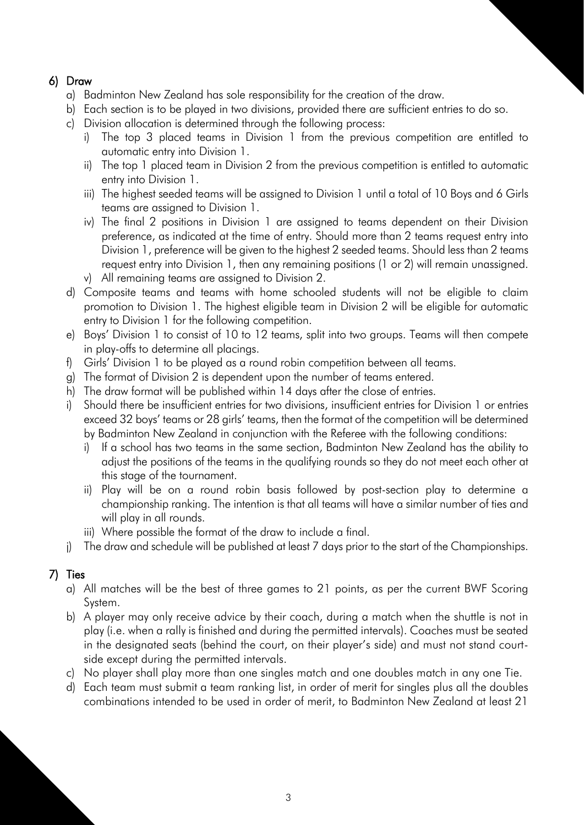## 6) Draw

- a) Badminton New Zealand has sole responsibility for the creation of the draw.
- b) Each section is to be played in two divisions, provided there are sufficient entries to do so.
- c) Division allocation is determined through the following process:
	- i) The top 3 placed teams in Division 1 from the previous competition are entitled to automatic entry into Division 1.
	- ii) The top 1 placed team in Division 2 from the previous competition is entitled to automatic entry into Division 1.
	- iii) The highest seeded teams will be assigned to Division 1 until a total of 10 Boys and 6 Girls teams are assigned to Division 1.
	- iv) The final 2 positions in Division 1 are assigned to teams dependent on their Division preference, as indicated at the time of entry. Should more than 2 teams request entry into Division 1, preference will be given to the highest 2 seeded teams. Should less than 2 teams request entry into Division 1, then any remaining positions (1 or 2) will remain unassigned. v) All remaining teams are assigned to Division 2.
- d) Composite teams and teams with home schooled students will not be eligible to claim promotion to Division 1. The highest eligible team in Division 2 will be eligible for automatic entry to Division 1 for the following competition.
- e) Boys' Division 1 to consist of 10 to 12 teams, split into two groups. Teams will then compete in play-offs to determine all placings.
- f) Girls' Division 1 to be played as a round robin competition between all teams.
- g) The format of Division 2 is dependent upon the number of teams entered.
- h) The draw format will be published within 14 days after the close of entries.
- i) Should there be insufficient entries for two divisions, insufficient entries for Division 1 or entries exceed 32 boys' teams or 28 girls' teams, then the format of the competition will be determined by Badminton New Zealand in conjunction with the Referee with the following conditions:
	- i) If a school has two teams in the same section, Badminton New Zealand has the ability to adjust the positions of the teams in the qualifying rounds so they do not meet each other at this stage of the tournament.
	- ii) Play will be on a round robin basis followed by post-section play to determine a championship ranking. The intention is that all teams will have a similar number of ties and will play in all rounds.
	- iii) Where possible the format of the draw to include a final.
- j) The draw and schedule will be published at least 7 days prior to the start of the Championships.

# 7) Ties

- a) All matches will be the best of three games to 21 points, as per the current BWF Scoring System.
- b) A player may only receive advice by their coach, during a match when the shuttle is not in play (i.e. when a rally is finished and during the permitted intervals). Coaches must be seated in the designated seats (behind the court, on their player's side) and must not stand courtside except during the permitted intervals.
- c) No player shall play more than one singles match and one doubles match in any one Tie.
- d) Each team must submit a team ranking list, in order of merit for singles plus all the doubles combinations intended to be used in order of merit, to Badminton New Zealand at least 21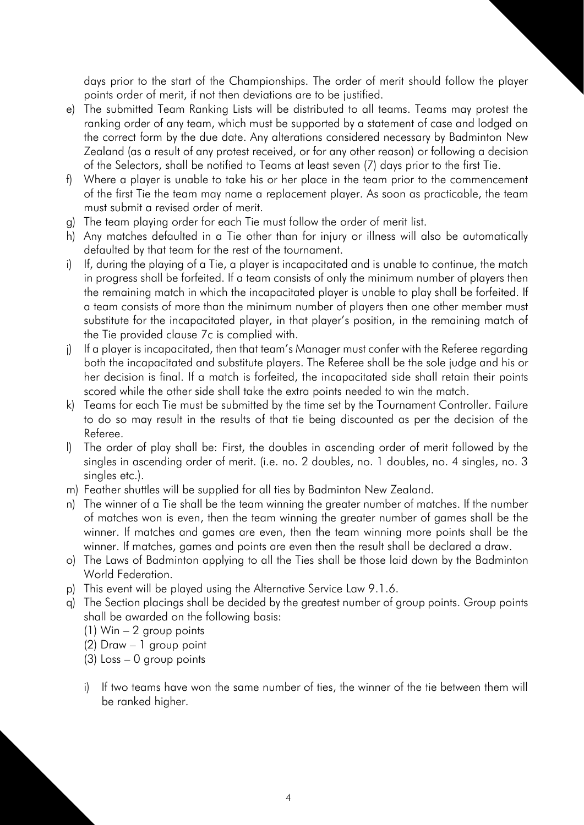days prior to the start of the Championships. The order of merit should follow the player points order of merit, if not then deviations are to be justified.

- e) The submitted Team Ranking Lists will be distributed to all teams. Teams may protest the ranking order of any team, which must be supported by a statement of case and lodged on the correct form by the due date. Any alterations considered necessary by Badminton New Zealand (as a result of any protest received, or for any other reason) or following a decision of the Selectors, shall be notified to Teams at least seven (7) days prior to the first Tie.
- f) Where a player is unable to take his or her place in the team prior to the commencement of the first Tie the team may name a replacement player. As soon as practicable, the team must submit a revised order of merit.
- g) The team playing order for each Tie must follow the order of merit list.
- h) Any matches defaulted in a Tie other than for injury or illness will also be automatically defaulted by that team for the rest of the tournament.
- i) If, during the playing of a Tie, a player is incapacitated and is unable to continue, the match in progress shall be forfeited. If a team consists of only the minimum number of players then the remaining match in which the incapacitated player is unable to play shall be forfeited. If a team consists of more than the minimum number of players then one other member must substitute for the incapacitated player, in that player's position, in the remaining match of the Tie provided clause 7c is complied with.
- j) If a player is incapacitated, then that team's Manager must confer with the Referee regarding both the incapacitated and substitute players. The Referee shall be the sole judge and his or her decision is final. If a match is forfeited, the incapacitated side shall retain their points scored while the other side shall take the extra points needed to win the match.
- k) Teams for each Tie must be submitted by the time set by the Tournament Controller. Failure to do so may result in the results of that tie being discounted as per the decision of the Referee.
- l) The order of play shall be: First, the doubles in ascending order of merit followed by the singles in ascending order of merit. (i.e. no. 2 doubles, no. 1 doubles, no. 4 singles, no. 3 singles etc.).
- m) Feather shuttles will be supplied for all ties by Badminton New Zealand.
- n) The winner of a Tie shall be the team winning the greater number of matches. If the number of matches won is even, then the team winning the greater number of games shall be the winner. If matches and games are even, then the team winning more points shall be the winner. If matches, games and points are even then the result shall be declared a draw.
- o) The Laws of Badminton applying to all the Ties shall be those laid down by the Badminton World Federation.
- p) This event will be played using the Alternative Service Law 9.1.6.
- q) The Section placings shall be decided by the greatest number of group points. Group points shall be awarded on the following basis:
	- (1) Win 2 group points
	- (2) Draw 1 group point
	- (3) Loss 0 group points
	- i) If two teams have won the same number of ties, the winner of the tie between them will be ranked higher.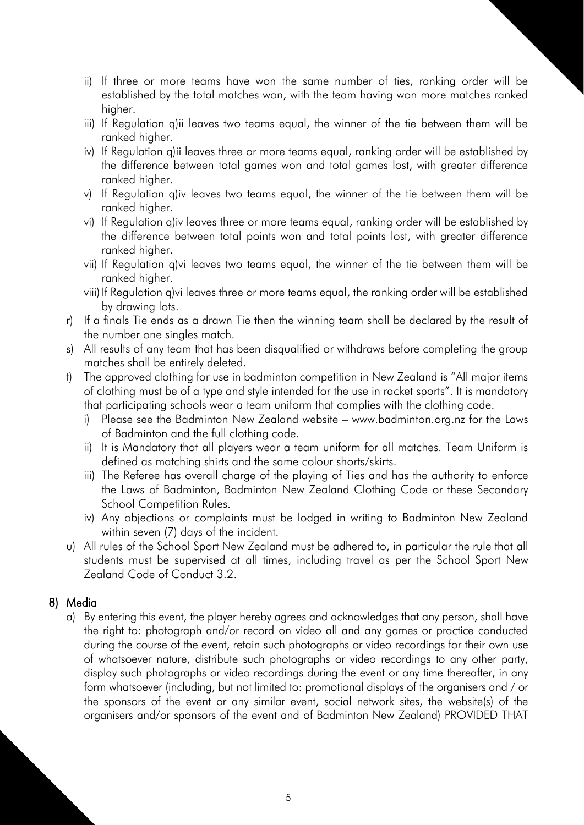- ii) If three or more teams have won the same number of ties, ranking order will be established by the total matches won, with the team having won more matches ranked higher.
- iii) If Regulation q)ii leaves two teams equal, the winner of the tie between them will be ranked higher.
- iv) If Regulation q)ii leaves three or more teams equal, ranking order will be established by the difference between total games won and total games lost, with greater difference ranked higher.
- v) If Regulation q)iv leaves two teams equal, the winner of the tie between them will be ranked higher.
- vi) If Regulation q)iv leaves three or more teams equal, ranking order will be established by the difference between total points won and total points lost, with greater difference ranked higher.
- vii) If Regulation q)vi leaves two teams equal, the winner of the tie between them will be ranked higher.
- viii) If Regulation q)vi leaves three or more teams equal, the ranking order will be established by drawing lots.
- r) If a finals Tie ends as a drawn Tie then the winning team shall be declared by the result of the number one singles match.
- s) All results of any team that has been disqualified or withdraws before completing the group matches shall be entirely deleted.
- t) The approved clothing for use in badminton competition in New Zealand is "All major items of clothing must be of a type and style intended for the use in racket sports". It is mandatory that participating schools wear a team uniform that complies with the clothing code.
	- i) Please see the Badminton New Zealand website www.badminton.org.nz for the Laws of Badminton and the full clothing code.
	- ii) It is Mandatory that all players wear a team uniform for all matches. Team Uniform is defined as matching shirts and the same colour shorts/skirts.
	- iii) The Referee has overall charge of the playing of Ties and has the authority to enforce the Laws of Badminton, Badminton New Zealand Clothing Code or these Secondary School Competition Rules.
	- iv) Any objections or complaints must be lodged in writing to Badminton New Zealand within seven (7) days of the incident.
- u) All rules of the School Sport New Zealand must be adhered to, in particular the rule that all students must be supervised at all times, including travel as per the School Sport New Zealand Code of Conduct 3.2.

#### 8) Media

a) By entering this event, the player hereby agrees and acknowledges that any person, shall have the right to: photograph and/or record on video all and any games or practice conducted during the course of the event, retain such photographs or video recordings for their own use of whatsoever nature, distribute such photographs or video recordings to any other party, display such photographs or video recordings during the event or any time thereafter, in any form whatsoever (including, but not limited to: promotional displays of the organisers and / or the sponsors of the event or any similar event, social network sites, the website(s) of the organisers and/or sponsors of the event and of Badminton New Zealand) PROVIDED THAT